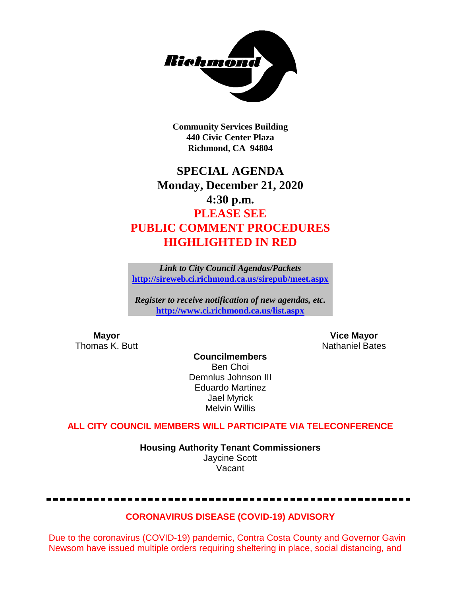

**Community Services Building 440 Civic Center Plaza Richmond, CA 94804**

# **SPECIAL AGENDA Monday, December 21, 2020 4:30 p.m. PLEASE SEE PUBLIC COMMENT PROCEDURES HIGHLIGHTED IN RED**

*Link to City Council Agendas/Packets* **<http://sireweb.ci.richmond.ca.us/sirepub/meet.aspx>**

*Register to receive notification of new agendas, etc.* **<http://www.ci.richmond.ca.us/list.aspx>**

**Mayor Mayor Wice Mayor Vice Mayor Vice Mayor Vice Mayor Vice Mayor Vice Mayor Vice Mayor Vice Mayor Vice Mayor Vice Mayor Vice Mayor Vice Mayor Vice Mayor Vice Mayor Vice Mayor Vice Mayor** Nathaniel Bates

**Councilmembers** Ben Choi Demnlus Johnson III Eduardo Martinez Jael Myrick Melvin Willis

# **ALL CITY COUNCIL MEMBERS WILL PARTICIPATE VIA TELECONFERENCE**

**Housing Authority Tenant Commissioners** Jaycine Scott Vacant

# **CORONAVIRUS DISEASE (COVID-19) ADVISORY**

Due to the coronavirus (COVID-19) pandemic, Contra Costa County and Governor Gavin Newsom have issued multiple orders requiring sheltering in place, social distancing, and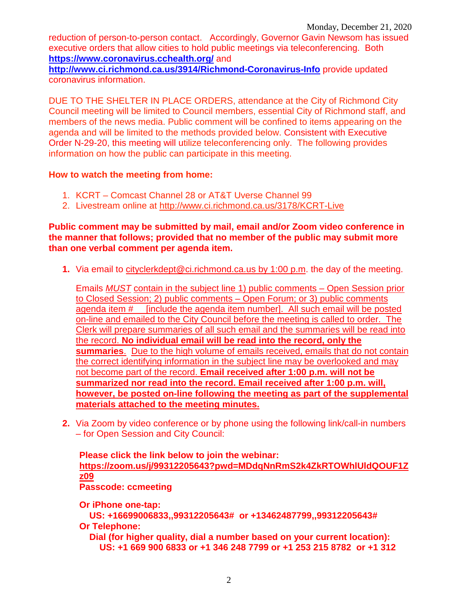reduction of person-to-person contact. Accordingly, Governor Gavin Newsom has issued executive orders that allow cities to hold public meetings via teleconferencing. Both **<https://www.coronavirus.cchealth.org/>** and

**<http://www.ci.richmond.ca.us/3914/Richmond-Coronavirus-Info>** provide updated coronavirus information.

DUE TO THE SHELTER IN PLACE ORDERS, attendance at the City of Richmond City Council meeting will be limited to Council members, essential City of Richmond staff, and members of the news media. Public comment will be confined to items appearing on the agenda and will be limited to the methods provided below. Consistent with Executive Order N-29-20, this meeting will utilize teleconferencing only. The following provides information on how the public can participate in this meeting.

# **How to watch the meeting from home:**

- 1. KCRT Comcast Channel 28 or AT&T Uverse Channel 99
- 2. Livestream online at<http://www.ci.richmond.ca.us/3178/KCRT-Live>

**Public comment may be submitted by mail, email and/or Zoom video conference in the manner that follows; provided that no member of the public may submit more than one verbal comment per agenda item.** 

**1.** Via email to [cityclerkdept@ci.richmond.ca.us](mailto:cityclerkdept@ci.richmond.ca.us) by 1:00 p.m. the day of the meeting.

Emails *MUST* contain in the subject line 1) public comments – Open Session prior to Closed Session; 2) public comments – Open Forum; or 3) public comments agenda item #\_\_ [include the agenda item number]. All such email will be posted on-line and emailed to the City Council before the meeting is called to order. The Clerk will prepare summaries of all such email and the summaries will be read into the record. **No individual email will be read into the record, only the summaries**. Due to the high volume of emails received, emails that do not contain the correct identifying information in the subject line may be overlooked and may not become part of the record. **Email received after 1:00 p.m. will not be summarized nor read into the record. Email received after 1:00 p.m. will, however, be posted on-line following the meeting as part of the supplemental materials attached to the meeting minutes.**

**2.** Via Zoom by video conference or by phone using the following link/call-in numbers – for Open Session and City Council:

**Please click the link below to join the webinar: [https://zoom.us/j/99312205643?pwd=MDdqNnRmS2k4ZkRTOWhlUldQOUF1Z](https://zoom.us/j/99312205643?pwd=MDdqNnRmS2k4ZkRTOWhlUldQOUF1Zz09) [z09](https://zoom.us/j/99312205643?pwd=MDdqNnRmS2k4ZkRTOWhlUldQOUF1Zz09) Passcode: ccmeeting**

**Or iPhone one-tap:**

**US: +16699006833,,99312205643# or +13462487799,,99312205643# Or Telephone:**

**Dial (for higher quality, dial a number based on your current location): US: +1 669 900 6833 or +1 346 248 7799 or +1 253 215 8782 or +1 312**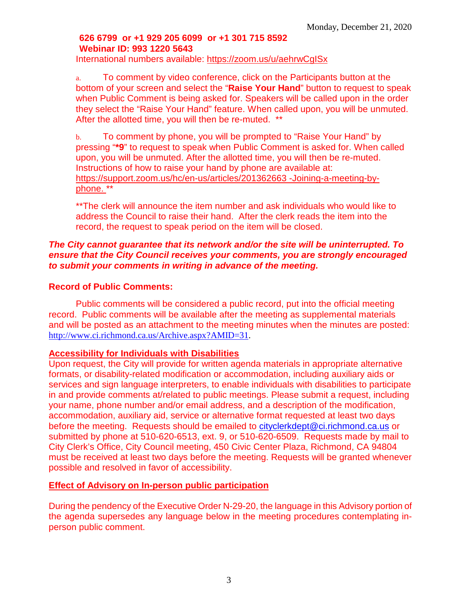# **626 6799 or +1 929 205 6099 or +1 301 715 8592 Webinar ID: 993 1220 5643**

International numbers available:<https://zoom.us/u/aehrwCgISx>

a. To comment by video conference, click on the Participants button at the bottom of your screen and select the "**Raise Your Hand**" button to request to speak when Public Comment is being asked for. Speakers will be called upon in the order they select the "Raise Your Hand" feature. When called upon, you will be unmuted. After the allotted time, you will then be re-muted. \*\*

b. To comment by phone, you will be prompted to "Raise Your Hand" by pressing "**\*9**" to request to speak when Public Comment is asked for. When called upon, you will be unmuted. After the allotted time, you will then be re-muted. Instructions of how to raise your hand by phone are available at: [https://support.zoom.us/hc/en-us/articles/201362663 -Joining-a-meeting-by](https://support.zoom.us/hc/en-us/articles/201362663)[phone.](https://support.zoom.us/hc/en-us/articles/201362663) \*\*

\*\*The clerk will announce the item number and ask individuals who would like to address the Council to raise their hand. After the clerk reads the item into the record, the request to speak period on the item will be closed.

# *The City cannot guarantee that its network and/or the site will be uninterrupted. To ensure that the City Council receives your comments, you are strongly encouraged to submit your comments in writing in advance of the meeting.*

# **Record of Public Comments:**

Public comments will be considered a public record, put into the official meeting record. Public comments will be available after the meeting as supplemental materials and will be posted as an attachment to the meeting minutes when the minutes are posted: [http://www.ci.richmond.ca.us/Archive.aspx?AMID=31.](http://www.ci.richmond.ca.us/Archive.aspx?AMID=31)

# **Accessibility for Individuals with Disabilities**

Upon request, the City will provide for written agenda materials in appropriate alternative formats, or disability-related modification or accommodation, including auxiliary aids or services and sign language interpreters, to enable individuals with disabilities to participate in and provide comments at/related to public meetings. Please submit a request, including your name, phone number and/or email address, and a description of the modification, accommodation, auxiliary aid, service or alternative format requested at least two days before the meeting. Requests should be emailed to [cityclerkdept@ci.richmond.ca.us](mailto:cityclerkdept@ci.richmond.ca.us) or submitted by phone at 510-620-6513, ext. 9, or 510-620-6509. Requests made by mail to City Clerk's Office, City Council meeting, 450 Civic Center Plaza, Richmond, CA 94804 must be received at least two days before the meeting. Requests will be granted whenever possible and resolved in favor of accessibility.

# **Effect of Advisory on In-person public participation**

During the pendency of the Executive Order N-29-20, the language in this Advisory portion of the agenda supersedes any language below in the meeting procedures contemplating inperson public comment.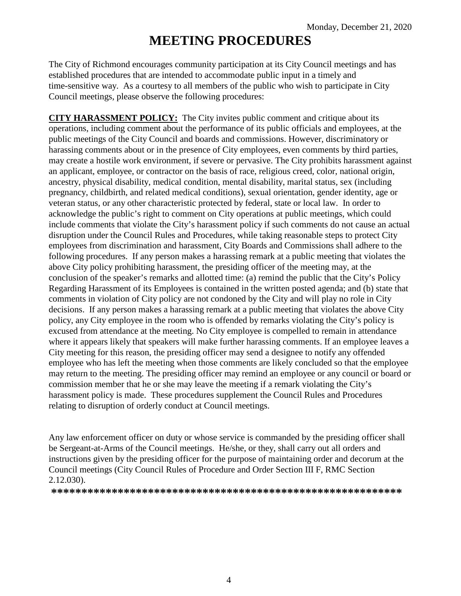# **MEETING PROCEDURES**

The City of Richmond encourages community participation at its City Council meetings and has established procedures that are intended to accommodate public input in a timely and time-sensitive way. As a courtesy to all members of the public who wish to participate in City Council meetings, please observe the following procedures:

**CITY HARASSMENT POLICY:** The City invites public comment and critique about its operations, including comment about the performance of its public officials and employees, at the public meetings of the City Council and boards and commissions. However, discriminatory or harassing comments about or in the presence of City employees, even comments by third parties, may create a hostile work environment, if severe or pervasive. The City prohibits harassment against an applicant, employee, or contractor on the basis of race, religious creed, color, national origin, ancestry, physical disability, medical condition, mental disability, marital status, sex (including pregnancy, childbirth, and related medical conditions), sexual orientation, gender identity, age or veteran status, or any other characteristic protected by federal, state or local law. In order to acknowledge the public's right to comment on City operations at public meetings, which could include comments that violate the City's harassment policy if such comments do not cause an actual disruption under the Council Rules and Procedures, while taking reasonable steps to protect City employees from discrimination and harassment, City Boards and Commissions shall adhere to the following procedures. If any person makes a harassing remark at a public meeting that violates the above City policy prohibiting harassment, the presiding officer of the meeting may, at the conclusion of the speaker's remarks and allotted time: (a) remind the public that the City's Policy Regarding Harassment of its Employees is contained in the written posted agenda; and (b) state that comments in violation of City policy are not condoned by the City and will play no role in City decisions. If any person makes a harassing remark at a public meeting that violates the above City policy, any City employee in the room who is offended by remarks violating the City's policy is excused from attendance at the meeting. No City employee is compelled to remain in attendance where it appears likely that speakers will make further harassing comments. If an employee leaves a City meeting for this reason, the presiding officer may send a designee to notify any offended employee who has left the meeting when those comments are likely concluded so that the employee may return to the meeting. The presiding officer may remind an employee or any council or board or commission member that he or she may leave the meeting if a remark violating the City's harassment policy is made. These procedures supplement the Council Rules and Procedures relating to disruption of orderly conduct at Council meetings.

Any law enforcement officer on duty or whose service is commanded by the presiding officer shall be Sergeant-at-Arms of the Council meetings. He/she, or they, shall carry out all orders and instructions given by the presiding officer for the purpose of maintaining order and decorum at the Council meetings (City Council Rules of Procedure and Order Section III F, RMC Section 2.12.030).

**\*\*\*\*\*\*\*\*\*\*\*\*\*\*\*\*\*\*\*\*\*\*\*\*\*\*\*\*\*\*\*\*\*\*\*\*\*\*\*\*\*\*\*\*\*\*\*\*\*\*\*\*\*\*\*\*\*\***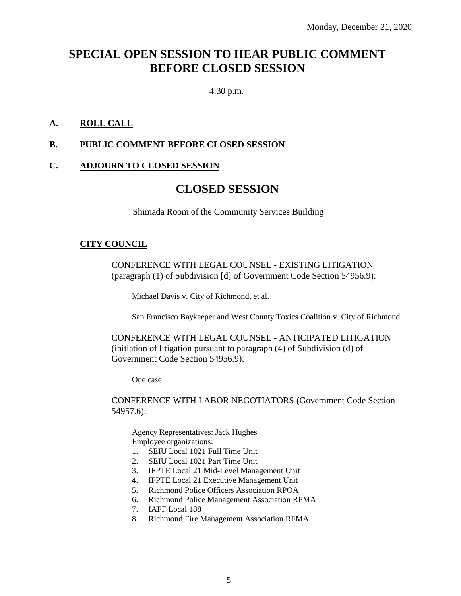# **SPECIAL OPEN SESSION TO HEAR PUBLIC COMMENT BEFORE CLOSED SESSION**

4:30 p.m.

# **A. ROLL CALL**

### **B. PUBLIC COMMENT BEFORE CLOSED SESSION**

#### **C. ADJOURN TO CLOSED SESSION**

# **CLOSED SESSION**

Shimada Room of the Community Services Building

#### **CITY COUNCIL**

CONFERENCE WITH LEGAL COUNSEL - EXISTING LITIGATION (paragraph (1) of Subdivision [d] of Government Code Section 54956.9):

Michael Davis v. City of Richmond, et al.

San Francisco Baykeeper and West County Toxics Coalition v. City of Richmond

CONFERENCE WITH LEGAL COUNSEL - ANTICIPATED LITIGATION (initiation of litigation pursuant to paragraph (4) of Subdivision (d) of Government Code Section 54956.9):

One case

CONFERENCE WITH LABOR NEGOTIATORS (Government Code Section 54957.6):

Agency Representatives: Jack Hughes Employee organizations:

- 1. SEIU Local 1021 Full Time Unit
- 2. SEIU Local 1021 Part Time Unit
- 3. IFPTE Local 21 Mid-Level Management Unit
- 4. IFPTE Local 21 Executive Management Unit
- 5. Richmond Police Officers Association RPOA
- 6. Richmond Police Management Association RPMA
- 7. IAFF Local 188
- 8. Richmond Fire Management Association RFMA